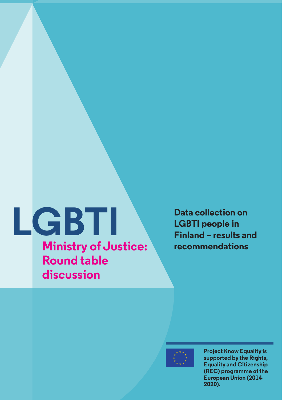# **LGBTI** Data collection on<br> **LGBTI** people in<br>
Finland – results ar<br>
Ministry of Justice: recommendations **Ministry of Justice: Round table**

**discussion**

**LGBTI people in Finland – results and** 

**Project Know Equality is supported by the Rights, Equality and Citizenship (REC) programme of the European Union (2014- 2020).**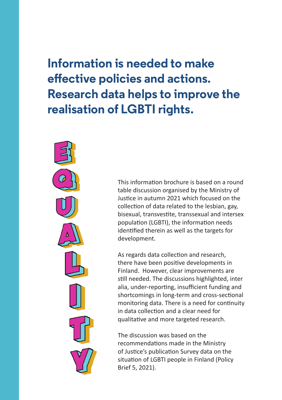## **Information is needed to make effective policies and actions. Research data helps to improve the realisation of LGBTI rights.**



This information brochure is based on a round table discussion organised by the Ministry of Justice in autumn 2021 which focused on the collection of data related to the lesbian, gay, bisexual, transvestite, transsexual and intersex population (LGBTI), the information needs identified therein as well as the targets for development.

As regards data collection and research, there have been positive developments in Finland. However, clear improvements are still needed. The discussions highlighted, inter alia, under-reporting, insufficient funding and shortcomings in long-term and cross-sectional monitoring data. There is a need for continuity in data collection and a clear need for qualitative and more targeted research.

The discussion was based on the recommendations made in the Ministry of Justice's publication Survey data on the situation of LGBTI people in Finland (Policy Brief 5, 2021).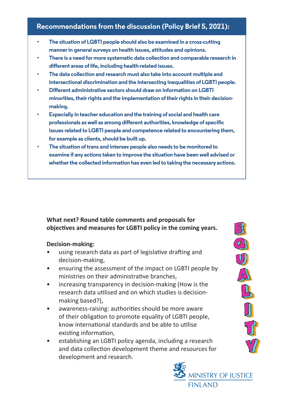### **Recommendations from the discussion (Policy Brief 5, 2021):**

- **• The situation of LGBTI people should also be examined in a cross-cutting manner in general surveys on health issues, attitudes and opinions.**
- **• There is a need for more systematic data collection and comparable research in different areas of life, including health-related issues.**
- **• The data collection and research must also take into account multiple and intersectional discrimination and the intersecting inequalities of LGBTI people.**
- **• Different administrative sectors should draw on information on LGBTI minorities, their rights and the implementation of their rights in their decisionmaking.**
- **• Especially in teacher education and the training of social and health care professionals as well as among different authorities, knowledge of specific issues related to LGBTI people and competence related to encountering them, for example as clients, should be built up.**
- **• The situation of trans and intersex people also needs to be monitored to examine if any actions taken to improve the situation have been well advised or whether the collected information has even led to taking the necessary actions.**

#### **What next? Round table comments and proposals for objectives and measures for LGBTI policy in the coming years.**

#### **Decision-making:**

- using research data as part of legislative drafting and decision-making,
- ensuring the assessment of the impact on LGBTI people by ministries on their administrative branches,
- increasing transparency in decision-making (How is the research data utilised and on which studies is decisionmaking based?),
- awareness-raising: authorities should be more aware of their obligation to promote equality of LGBTI people, know international standards and be able to utilise existing information,
- establishing an LGBTI policy agenda, including a research and data collection development theme and resources for development and research.